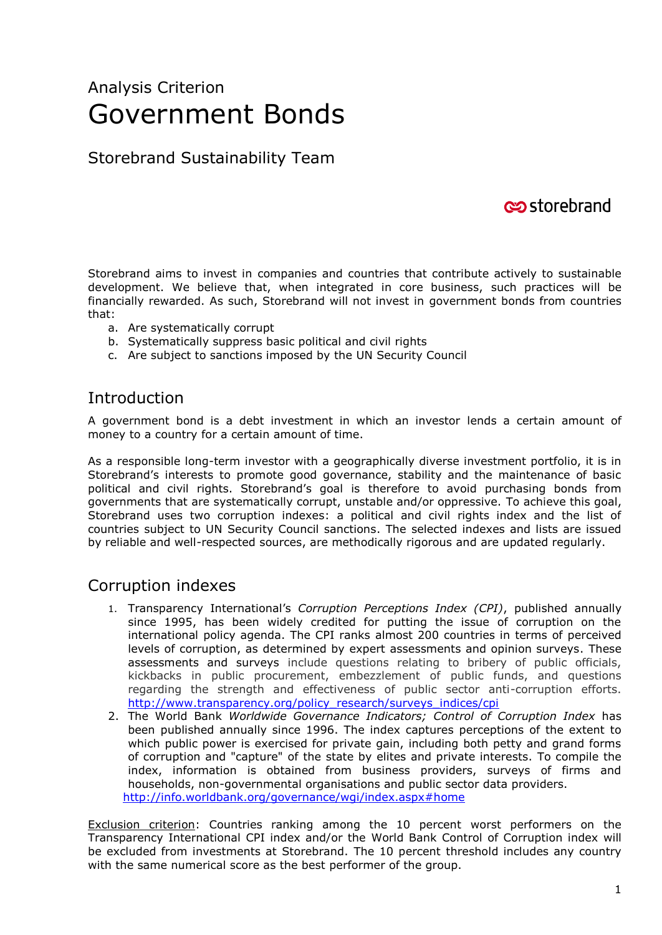# Analysis Criterion Government Bonds

## Storebrand Sustainability Team

# **c**ostorebrand

Storebrand aims to invest in companies and countries that contribute actively to sustainable development. We believe that, when integrated in core business, such practices will be financially rewarded. As such, Storebrand will not invest in government bonds from countries that:

- a. Are systematically corrupt
- b. Systematically suppress basic political and civil rights
- c. Are subject to sanctions imposed by the UN Security Council

#### **Introduction**

A government bond is a debt investment in which an investor lends a certain amount of money to a country for a certain amount of time.

As a responsible long-term investor with a geographically diverse investment portfolio, it is in Storebrand's interests to promote good governance, stability and the maintenance of basic political and civil rights. Storebrand's goal is therefore to avoid purchasing bonds from governments that are systematically corrupt, unstable and/or oppressive. To achieve this goal, Storebrand uses two corruption indexes: a political and civil rights index and the list of countries subject to UN Security Council sanctions. The selected indexes and lists are issued by reliable and well-respected sources, are methodically rigorous and are updated regularly.

#### Corruption indexes

- 1. Transparency International's *Corruption Perceptions Index (CPI)*, published annually since 1995, has been widely credited for putting the issue of corruption on the international policy agenda. The CPI ranks almost 200 countries in terms of perceived levels of corruption, as determined by expert assessments and opinion surveys. These assessments and surveys include questions relating to bribery of public officials, kickbacks in public procurement, embezzlement of public funds, and questions regarding the strength and effectiveness of public sector anti-corruption efforts. [http://www.transparency.org/policy\\_research/surveys\\_indices/cpi](http://www.transparency.org/policy_research/surveys_indices/cpi)
- 2. The World Bank *Worldwide Governance Indicators; Control of Corruption Index* has been published annually since 1996. The index captures perceptions of the extent to which public power is exercised for private gain, including both petty and grand forms of corruption and "capture" of the state by elites and private interests. To compile the index, information is obtained from business providers, surveys of firms and households, non-governmental organisations and public sector data providers. <http://info.worldbank.org/governance/wgi/index.aspx#home>

Exclusion criterion: Countries ranking among the 10 percent worst performers on the Transparency International CPI index and/or the World Bank Control of Corruption index will be excluded from investments at Storebrand. The 10 percent threshold includes any country with the same numerical score as the best performer of the group.